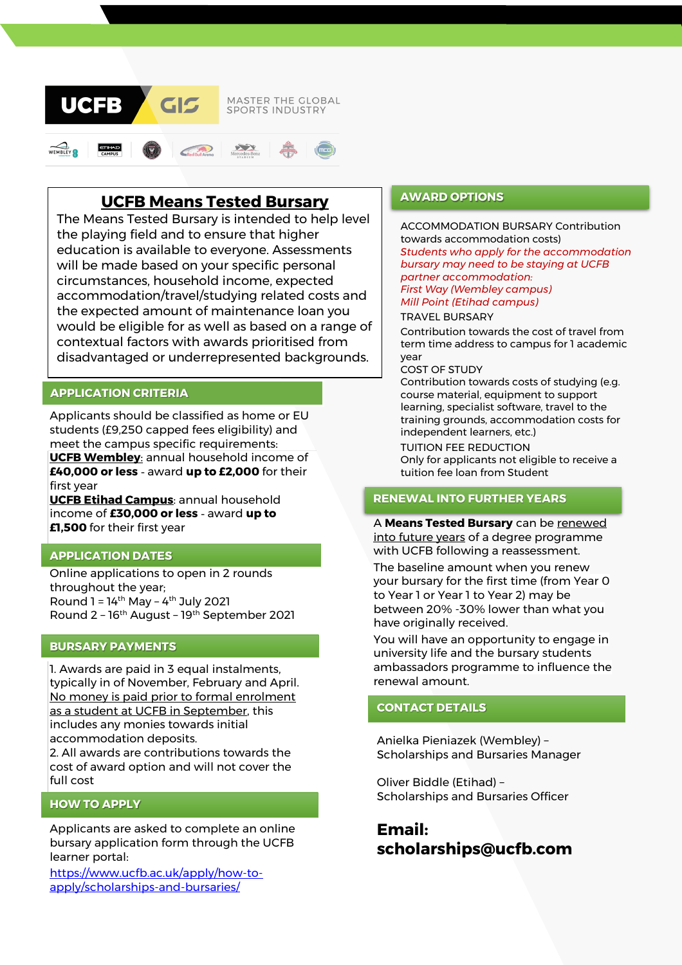

# **UCFB Means Tested Bursary**

The Means Tested Bursary is intended to help level the playing field and to ensure that higher education is available to everyone. Assessments will be made based on your specific personal circumstances, household income, expected accommodation/travel/studying related costs and the expected amount of maintenance loan you would be eligible for as well as based on a range of contextual factors with awards prioritised from disadvantaged or underrepresented backgrounds.

# **APPLICATION CRITERIA**

Applicants should be classified as home or EU students (£9,250 capped fees eligibility) and meet the campus specific requirements: **UCFB Wembley**: annual household income of **£40,000 or less** - award **up to £2,000** for their first year

**UCFB Etihad Campus**: annual household income of **£30,000 or less** - award **up to £1,500** for their first year

# **APPLICATION DATES**

Online applications to open in 2 rounds throughout the year; Round  $1 = 14$ <sup>th</sup> May –  $4$ <sup>th</sup> July 2021 Round 2 - 16<sup>th</sup> August - 19<sup>th</sup> September 2021

# **BURSARY PAYMENTS**

1. Awards are paid in 3 equal instalments, typically in of November, February and April. No money is paid prior to formal enrolment as a student at UCFB in September, this includes any monies towards initial accommodation deposits.

2. All awards are contributions towards the cost of award option and will not cover the full cost

# **HOW TO APPLY**

Applicants are asked to complete an online bursary application form through the UCFB learner portal:

[https://www.ucfb.ac.uk/apply/how-to](https://www.ucfb.ac.uk/apply/how-to-apply/scholarships-and-bursaries/)[apply/scholarships-and-bursaries/](https://www.ucfb.ac.uk/apply/how-to-apply/scholarships-and-bursaries/)

# **AWARD OPTIONS**

ACCOMMODATION BURSARY Contribution towards accommodation costs) *Students who apply for the accommodation bursary may need to be staying at UCFB partner accommodation: First Way (Wembley campus) Mill Point (Etihad campus)*

TRAVEL BURSARY

Contribution towards the cost of travel from term time address to campus for 1 academic year

#### COST OF STUDY

Contribution towards costs of studying (e.g. course material, equipment to support learning, specialist software, travel to the training grounds, accommodation costs for independent learners, etc.)

TUITION FEE REDUCTION Only for applicants not eligible to receive a tuition fee loan from Student

# **RENEWAL INTO FURTHER YEARS**

A **Means Tested Bursary** can be renewed into future years of a degree programme with UCFB following a reassessment.

The baseline amount when you renew your bursary for the first time (from Year 0 to Year 1 or Year 1 to Year 2) may be between 20% -30% lower than what you have originally received.

You will have an opportunity to engage in university life and the bursary students ambassadors programme to influence the renewal amount.

#### **CONTACT DETAILS**

Anielka Pieniazek (Wembley) – Scholarships and Bursaries Manager

Oliver Biddle (Etihad) – Scholarships and Bursaries Officer

**Email: scholarships@ucfb.com**